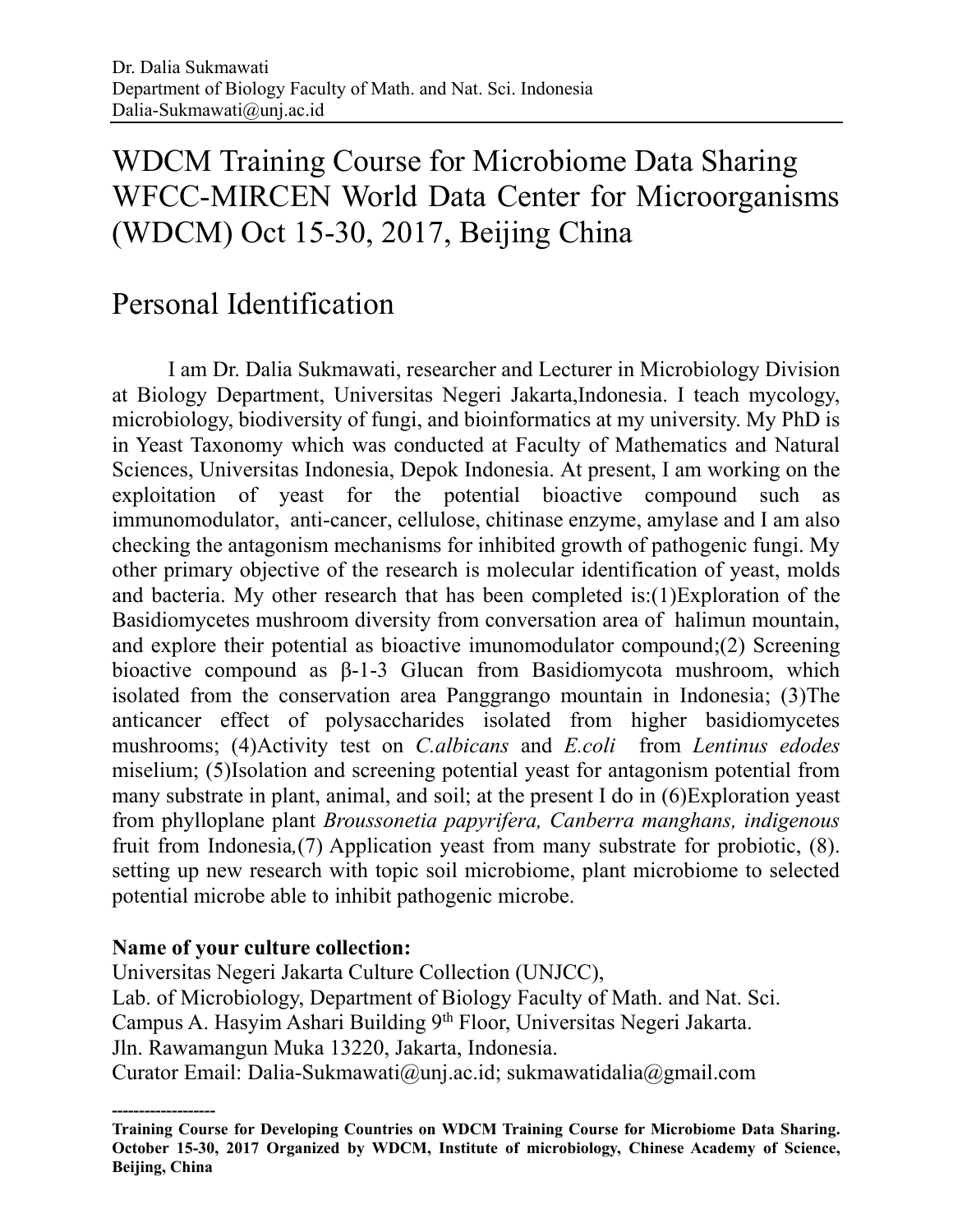# WDCM Training Course for Microbiome Data Sharing WFCC-MIRCEN World Data Center for Microorganisms (WDCM) Oct 15-30, 2017, Beijing China

## Personal Identification

I am Dr. Dalia Sukmawati, researcher and Lecturer in Microbiology Division at Biology Department, Universitas Negeri Jakarta,Indonesia. I teach mycology, microbiology, biodiversity of fungi, and bioinformatics at my university. My PhD is in Yeast Taxonomy which was conducted at Faculty of Mathematics and Natural Sciences, Universitas Indonesia, Depok Indonesia. At present, I am working on the exploitation of yeast for the potential bioactive compound such as immunomodulator, anti-cancer, cellulose, chitinase enzyme, amylase and I am also checking the antagonism mechanisms for inhibited growth of pathogenic fungi. My other primary objective of the research is molecular identification of yeast, molds and bacteria. My other research that has been completed is:(1)Exploration of the Basidiomycetes mushroom diversity from conversation area of halimun mountain, and explore their potential as bioactive imunomodulator compound;(2) Screening bioactive compound as β-1-3 Glucan from Basidiomycota mushroom, which isolated from the conservation area Panggrango mountain in Indonesia; (3)The anticancer effect of polysaccharides isolated from higher basidiomycetes mushrooms; (4)Activity test on *C.albicans* and *E.coli* from *Lentinus edodes* miselium; (5)Isolation and screening potential yeast for antagonism potential from many substrate in plant, animal, and soil; at the present I do in (6)Exploration yeast from phylloplane plant *Broussonetia papyrifera, Canberra manghans, indigenous*  fruit from Indonesia*,*(7) Application yeast from many substrate for probiotic, (8). setting up new research with topic soil microbiome, plant microbiome to selected potential microbe able to inhibit pathogenic microbe.

#### **Name of your culture collection:**

Universitas Negeri Jakarta Culture Collection (UNJCC), Lab. of Microbiology, Department of Biology Faculty of Math. and Nat. Sci. Campus A. Hasyim Ashari Building 9th Floor, Universitas Negeri Jakarta. Jln. Rawamangun Muka 13220, Jakarta, Indonesia. Curator Email: [Dalia-Sukmawati@unj.ac.id;](mailto:Dalia-Sukmawati@unj.ac.id) [sukmawatidalia@gmail.com](mailto:sukmawatidalia@gmail.com)

**<sup>-------------------</sup> Training Course for Developing Countries on WDCM Training Course for Microbiome Data Sharing. October 15-30, 2017 Organized by WDCM, Institute of microbiology, Chinese Academy of Science, Beijing, China**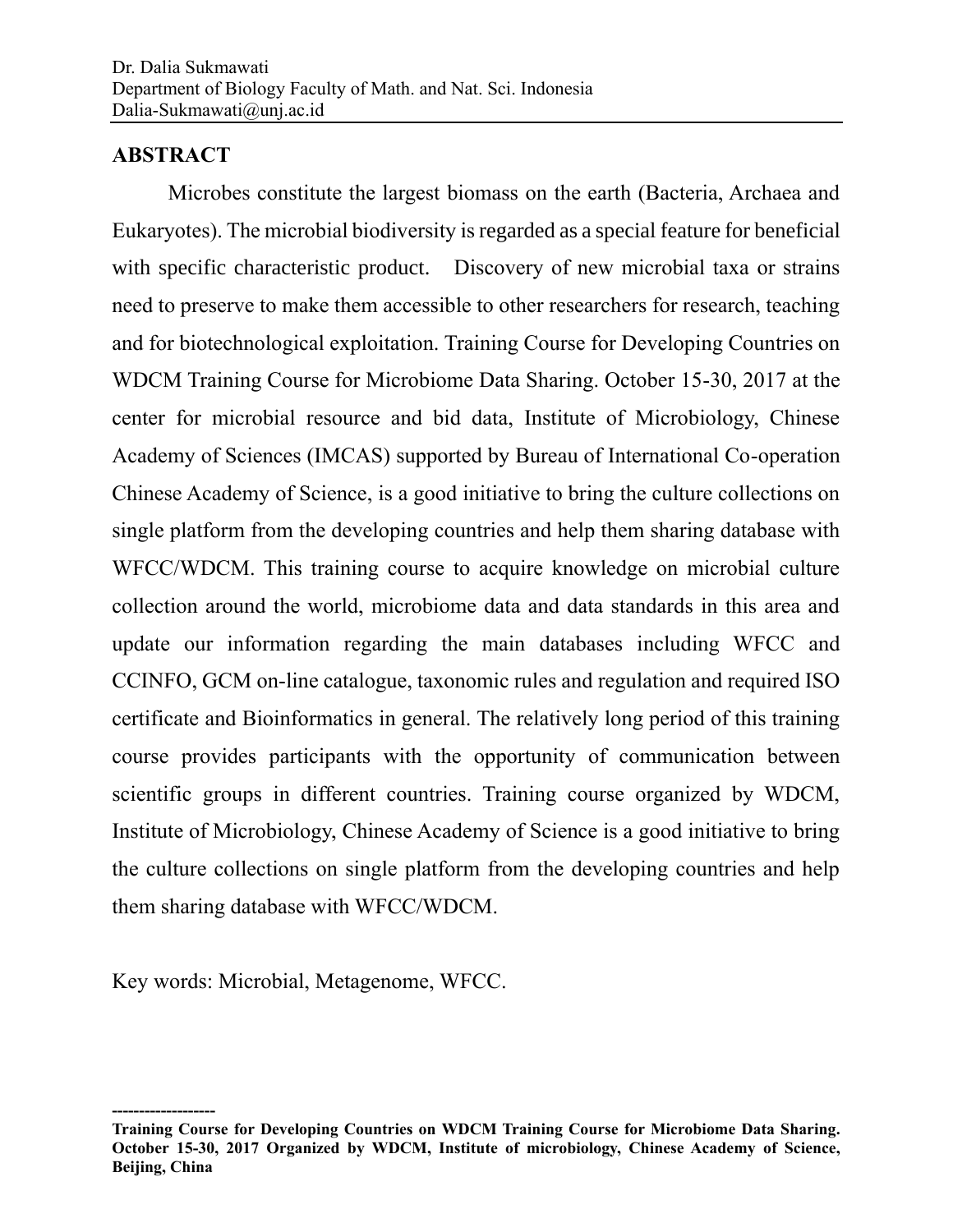### **ABSTRACT**

Microbes constitute the largest biomass on the earth (Bacteria, Archaea and Eukaryotes). The microbial biodiversity is regarded as a special feature for beneficial with specific characteristic product. Discovery of new microbial taxa or strains need to preserve to make them accessible to other researchers for research, teaching and for biotechnological exploitation. Training Course for Developing Countries on WDCM Training Course for Microbiome Data Sharing. October 15-30, 2017 at the center for microbial resource and bid data, Institute of Microbiology, Chinese Academy of Sciences (IMCAS) supported by Bureau of International Co-operation Chinese Academy of Science, is a good initiative to bring the culture collections on single platform from the developing countries and help them sharing database with WFCC/WDCM. This training course to acquire knowledge on microbial culture collection around the world, microbiome data and data standards in this area and update our information regarding the main databases including WFCC and CCINFO, GCM on-line catalogue, taxonomic rules and regulation and required ISO certificate and Bioinformatics in general. The relatively long period of this training course provides participants with the opportunity of communication between scientific groups in different countries. Training course organized by WDCM, Institute of Microbiology, Chinese Academy of Science is a good initiative to bring the culture collections on single platform from the developing countries and help them sharing database with WFCC/WDCM.

Key words: Microbial, Metagenome, WFCC.

**<sup>-------------------</sup> Training Course for Developing Countries on WDCM Training Course for Microbiome Data Sharing. October 15-30, 2017 Organized by WDCM, Institute of microbiology, Chinese Academy of Science, Beijing, China**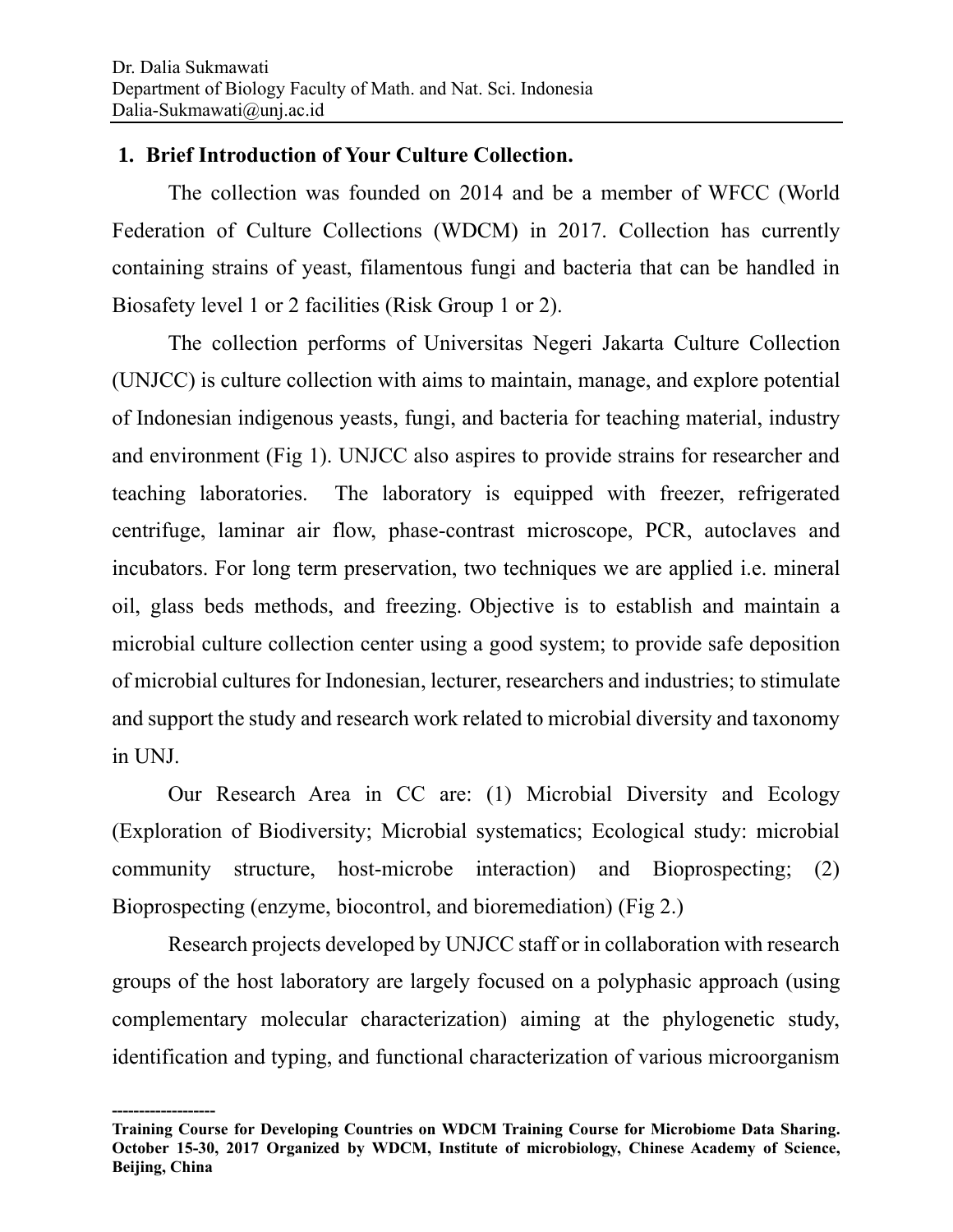#### **1. Brief Introduction of Your Culture Collection.**

The collection was founded on 2014 and be a member of WFCC (World Federation of Culture Collections (WDCM) in 2017. Collection has currently containing strains of yeast, filamentous fungi and bacteria that can be handled in Biosafety level 1 or 2 facilities (Risk Group 1 or 2).

The collection performs of Universitas Negeri Jakarta Culture Collection (UNJCC) is culture collection with aims to maintain, manage, and explore potential of Indonesian indigenous yeasts, fungi, and bacteria for teaching material, industry and environment (Fig 1). UNJCC also aspires to provide strains for researcher and teaching laboratories. The laboratory is equipped with freezer, refrigerated centrifuge, laminar air flow, phase-contrast microscope, PCR, autoclaves and incubators. For long term preservation, two techniques we are applied i.e. mineral oil, glass beds methods, and freezing. Objective is to establish and maintain a microbial culture collection center using a good system; to provide safe deposition of microbial cultures for Indonesian, lecturer, researchers and industries; to stimulate and support the study and research work related to microbial diversity and taxonomy in UNJ.

Our Research Area in CC are: (1) Microbial Diversity and Ecology (Exploration of Biodiversity; Microbial systematics; Ecological study: microbial community structure, host-microbe interaction) and Bioprospecting; (2) Bioprospecting (enzyme, biocontrol, and bioremediation) (Fig 2.)

Research projects developed by UNJCC staff or in collaboration with research groups of the host laboratory are largely focused on a polyphasic approach (using complementary molecular characterization) aiming at the phylogenetic study, identification and typing, and functional characterization of various microorganism

**<sup>-------------------</sup> Training Course for Developing Countries on WDCM Training Course for Microbiome Data Sharing. October 15-30, 2017 Organized by WDCM, Institute of microbiology, Chinese Academy of Science, Beijing, China**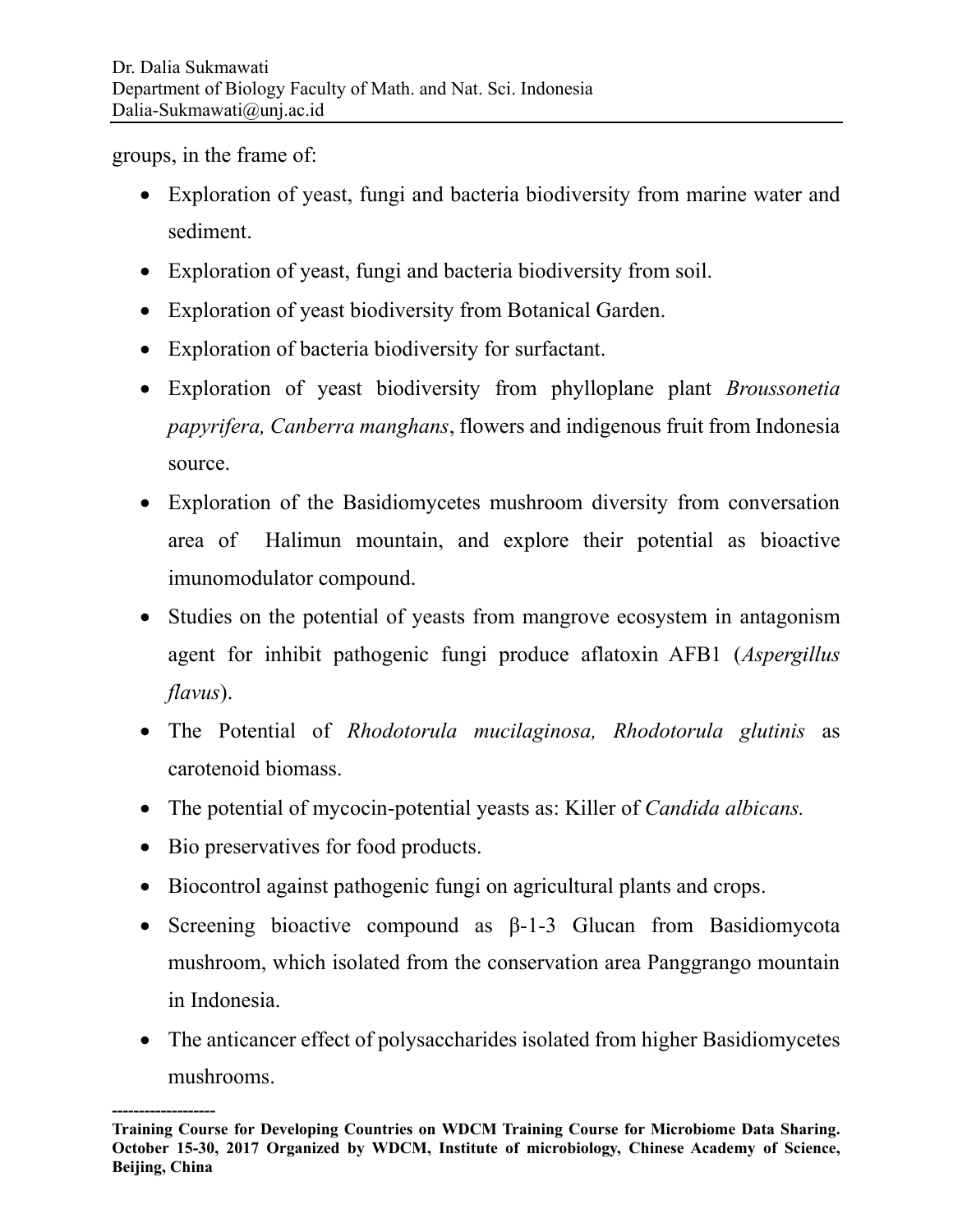groups, in the frame of:

- Exploration of yeast, fungi and bacteria biodiversity from marine water and sediment.
- Exploration of yeast, fungi and bacteria biodiversity from soil.
- Exploration of yeast biodiversity from Botanical Garden.
- Exploration of bacteria biodiversity for surfactant.
- Exploration of yeast biodiversity from phylloplane plant *Broussonetia papyrifera, Canberra manghans*, flowers and indigenous fruit from Indonesia source.
- Exploration of the Basidiomycetes mushroom diversity from conversation area of Halimun mountain, and explore their potential as bioactive imunomodulator compound.
- Studies on the potential of yeasts from mangrove ecosystem in antagonism agent for inhibit pathogenic fungi produce aflatoxin AFB1 (*Aspergillus flavus*).
- The Potential of *Rhodotorula mucilaginosa, Rhodotorula glutinis* as carotenoid biomass.
- The potential of mycocin-potential yeasts as: Killer of *Candida albicans.*
- Bio preservatives for food products.
- Biocontrol against pathogenic fungi on agricultural plants and crops.
- Screening bioactive compound as β-1-3 Glucan from Basidiomycota mushroom, which isolated from the conservation area Panggrango mountain in Indonesia.
- The anticancer effect of polysaccharides isolated from higher Basidiomycetes mushrooms.

**<sup>-------------------</sup> Training Course for Developing Countries on WDCM Training Course for Microbiome Data Sharing. October 15-30, 2017 Organized by WDCM, Institute of microbiology, Chinese Academy of Science, Beijing, China**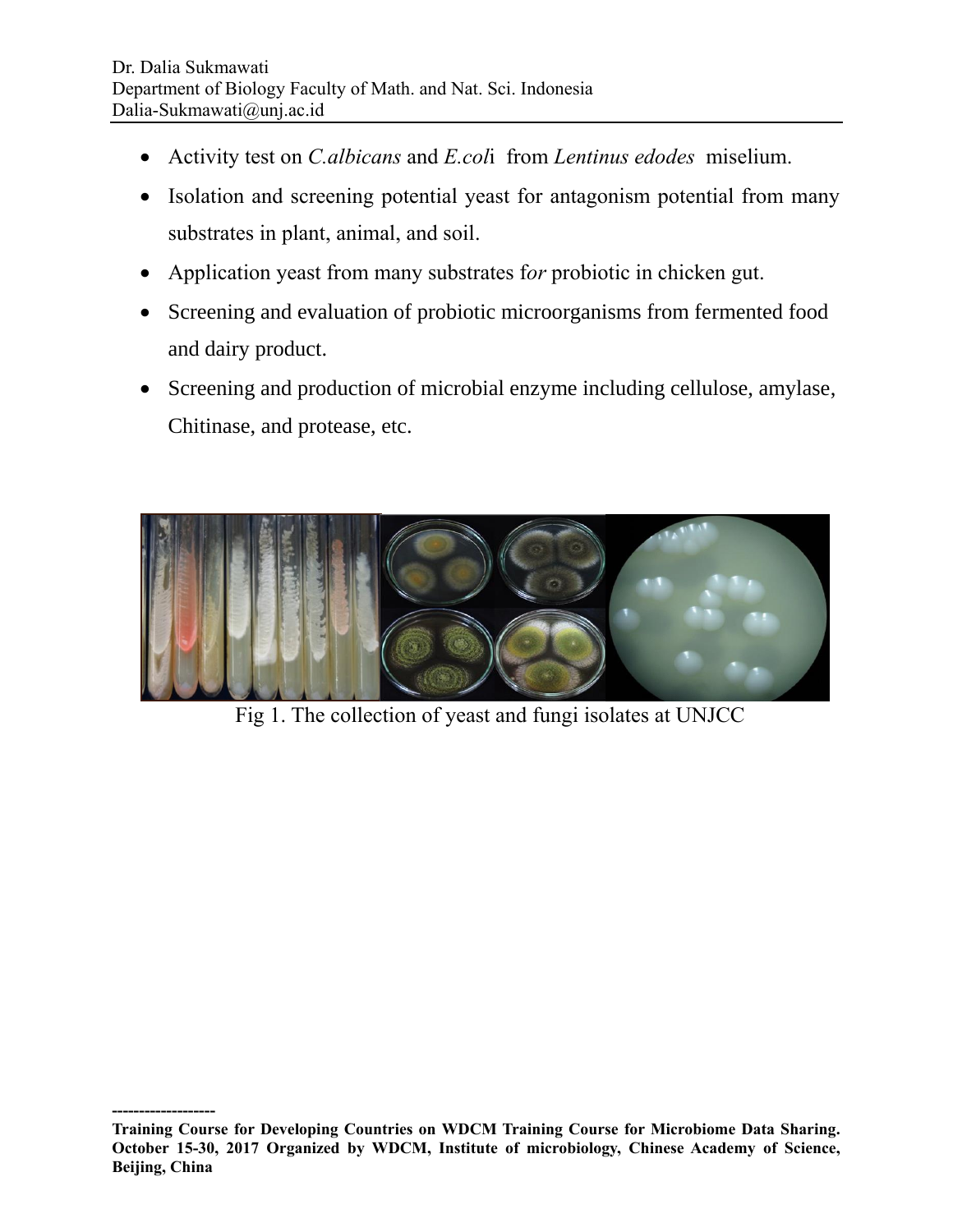- Activity test on *C.albicans* and *E.col*i from *Lentinus edodes* miselium.
- Isolation and screening potential yeast for antagonism potential from many substrates in plant, animal, and soil.
- Application yeast from many substrates f*or* probiotic in chicken gut.
- Screening and evaluation of probiotic microorganisms from fermented food and dairy product.
- Screening and production of microbial enzyme including cellulose, amylase, Chitinase, and protease, etc.



Fig 1. The collection of yeast and fungi isolates at UNJCC

**<sup>-------------------</sup> Training Course for Developing Countries on WDCM Training Course for Microbiome Data Sharing. October 15-30, 2017 Organized by WDCM, Institute of microbiology, Chinese Academy of Science, Beijing, China**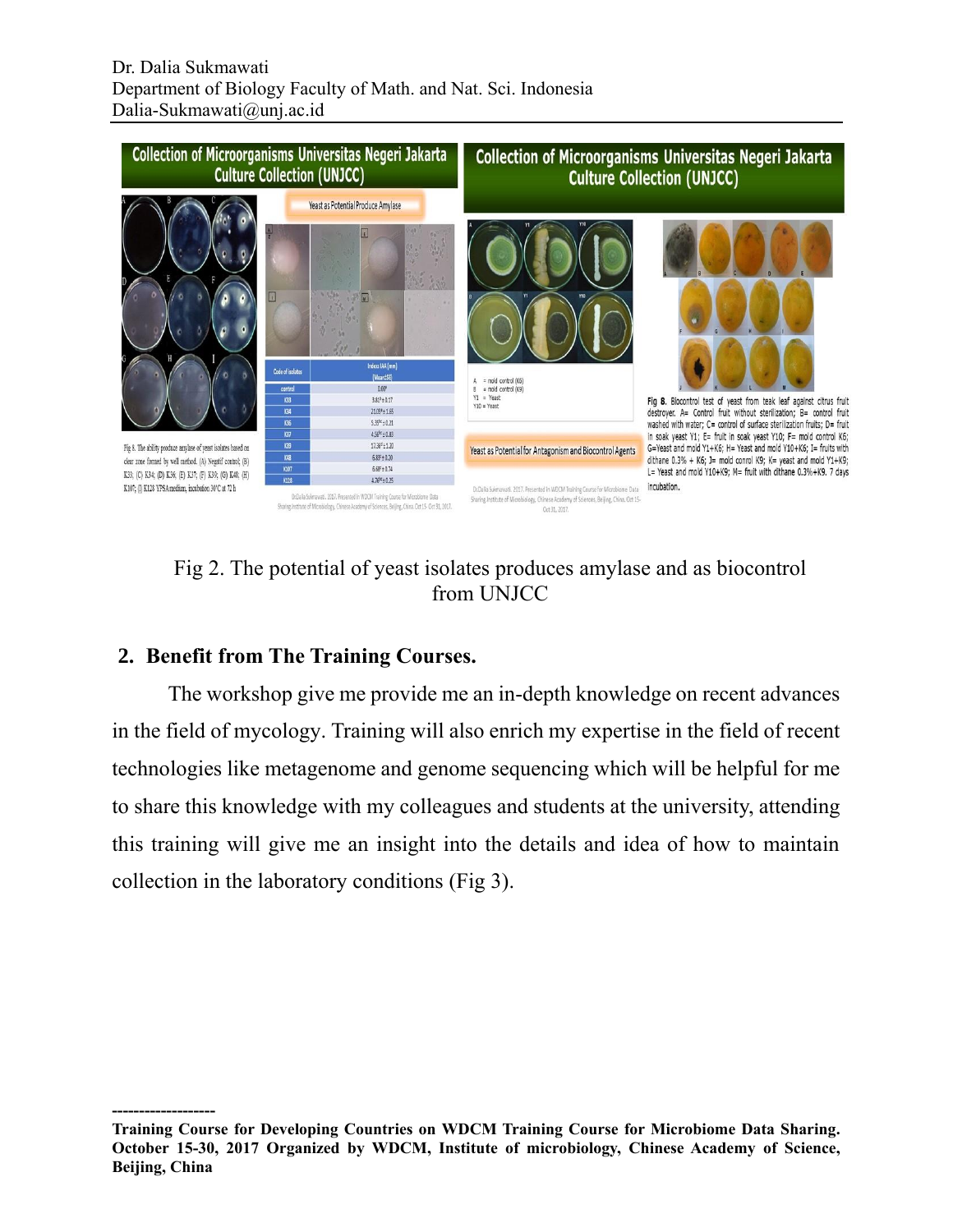

## Fig 2. The potential of yeast isolates produces amylase and as biocontrol from UNJCC

### **2. Benefit from The Training Courses.**

The workshop give me provide me an in-depth knowledge on recent advances in the field of mycology. Training will also enrich my expertise in the field of recent technologies like metagenome and genome sequencing which will be helpful for me to share this knowledge with my colleagues and students at the university, attending this training will give me an insight into the details and idea of how to maintain collection in the laboratory conditions (Fig 3).

**<sup>-------------------</sup> Training Course for Developing Countries on WDCM Training Course for Microbiome Data Sharing. October 15-30, 2017 Organized by WDCM, Institute of microbiology, Chinese Academy of Science, Beijing, China**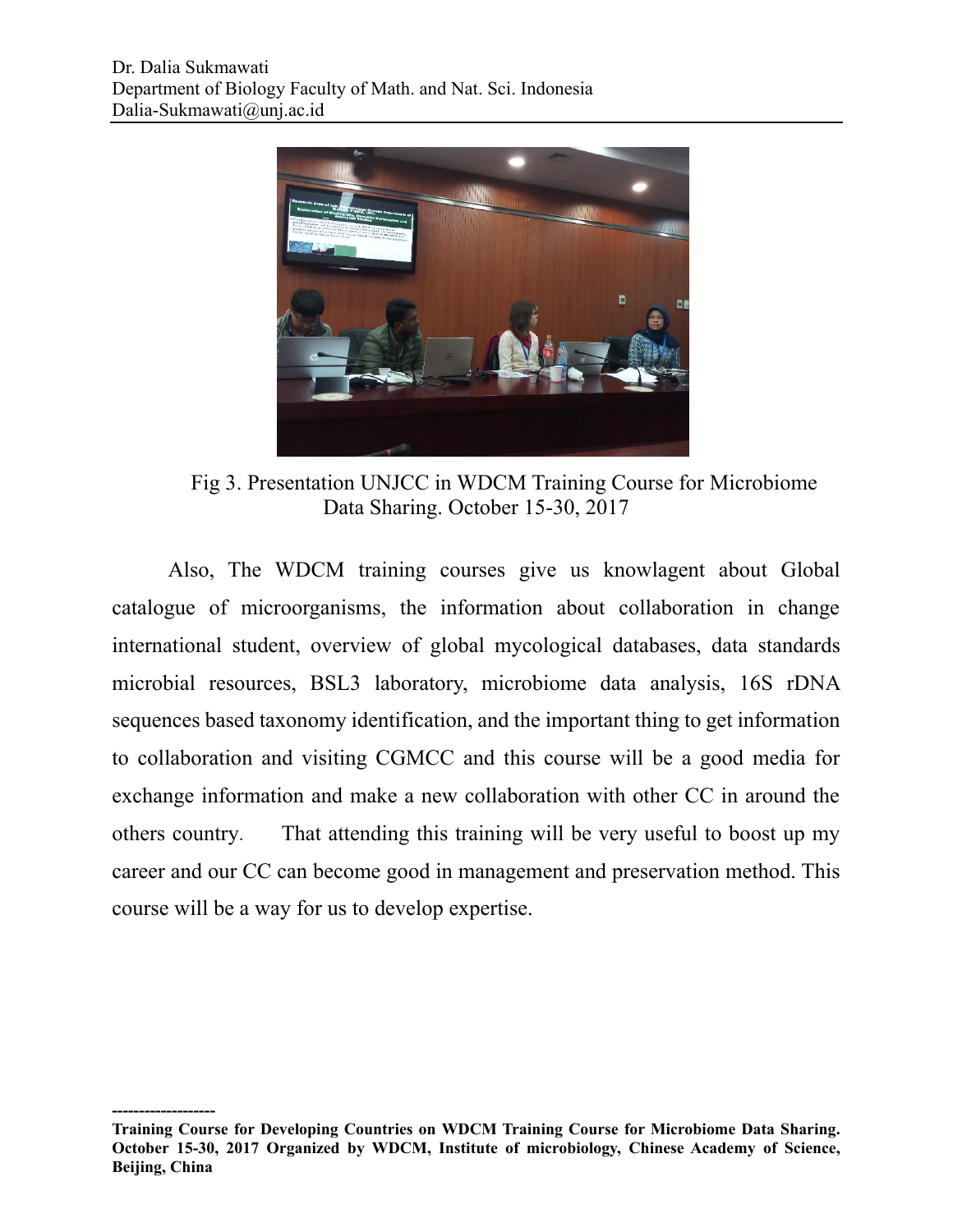

Fig 3. Presentation UNJCC in WDCM Training Course for Microbiome Data Sharing. October 15-30, 2017

Also, The WDCM training courses give us knowlagent about Global catalogue of microorganisms, the information about collaboration in change international student, overview of global mycological databases, data standards microbial resources, BSL3 laboratory, microbiome data analysis, 16S rDNA sequences based taxonomy identification, and the important thing to get information to collaboration and visiting CGMCC and this course will be a good media for exchange information and make a new collaboration with other CC in around the others country. That attending this training will be very useful to boost up my career and our CC can become good in management and preservation method. This course will be a way for us to develop expertise.

**<sup>-------------------</sup> Training Course for Developing Countries on WDCM Training Course for Microbiome Data Sharing. October 15-30, 2017 Organized by WDCM, Institute of microbiology, Chinese Academy of Science, Beijing, China**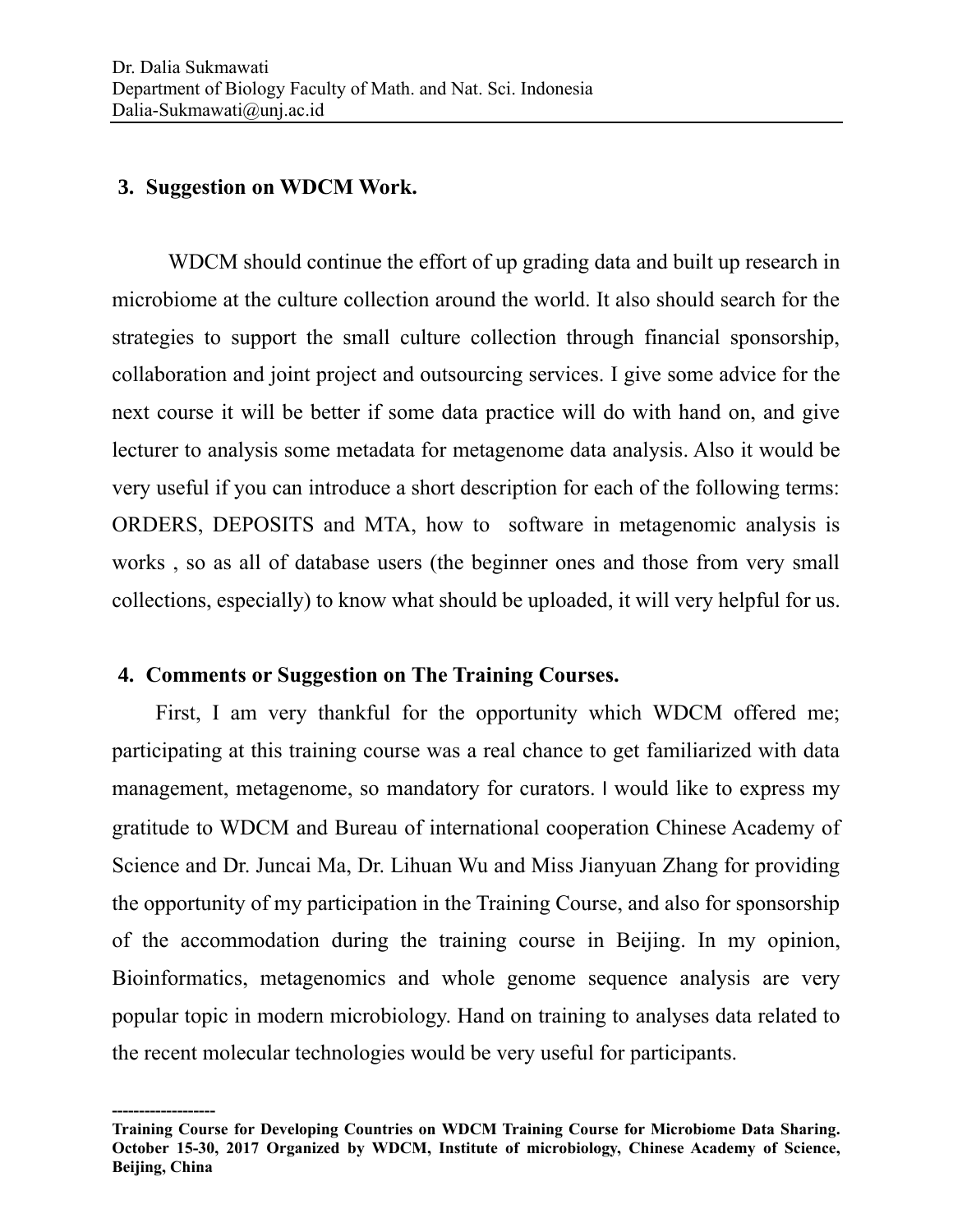#### **3. Suggestion on WDCM Work.**

WDCM should continue the effort of up grading data and built up research in microbiome at the culture collection around the world. It also should search for the strategies to support the small culture collection through financial sponsorship, collaboration and joint project and outsourcing services. I give some advice for the next course it will be better if some data practice will do with hand on, and give lecturer to analysis some metadata for metagenome data analysis. Also it would be very useful if you can introduce a short description for each of the following terms: ORDERS, DEPOSITS and MTA, how to software in metagenomic analysis is works , so as all of database users (the beginner ones and those from very small collections, especially) to know what should be uploaded, it will very helpful for us.

#### **4. Comments or Suggestion on The Training Courses.**

First, I am very thankful for the opportunity which WDCM offered me; participating at this training course was a real chance to get familiarized with data management, metagenome, so mandatory for curators. I would like to express my gratitude to WDCM and Bureau of international cooperation Chinese Academy of Science and Dr. Juncai Ma, Dr. Lihuan Wu and Miss Jianyuan Zhang for providing the opportunity of my participation in the Training Course, and also for sponsorship of the accommodation during the training course in Beijing. In my opinion, Bioinformatics, metagenomics and whole genome sequence analysis are very popular topic in modern microbiology. Hand on training to analyses data related to the recent molecular technologies would be very useful for participants.

**<sup>-------------------</sup> Training Course for Developing Countries on WDCM Training Course for Microbiome Data Sharing. October 15-30, 2017 Organized by WDCM, Institute of microbiology, Chinese Academy of Science, Beijing, China**